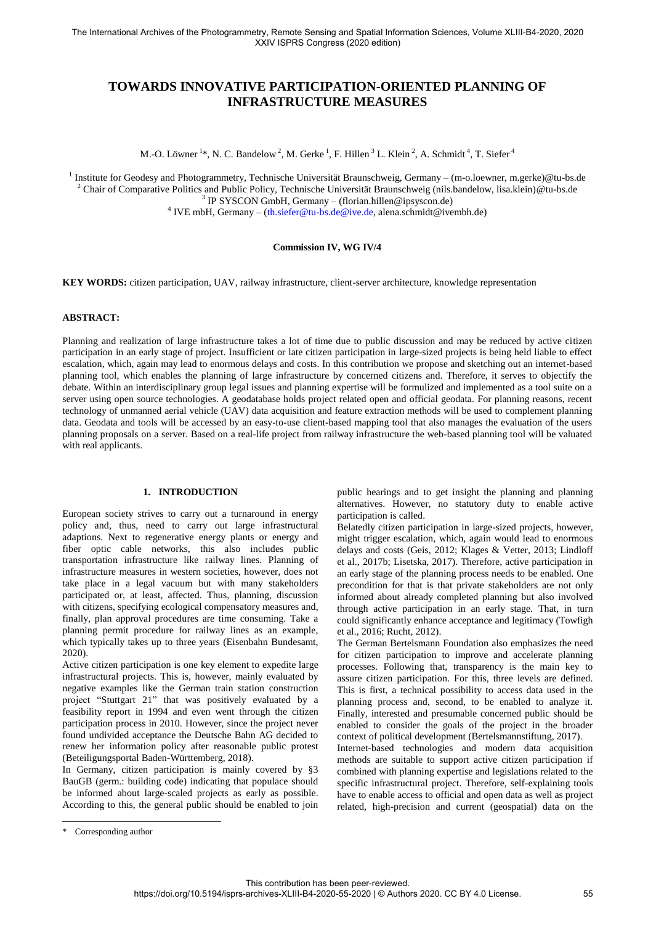# **TOWARDS INNOVATIVE PARTICIPATION-ORIENTED PLANNING OF INFRASTRUCTURE MEASURES**

M.-O. Löwner <sup>1</sup>\*, N. C. Bandelow <sup>2</sup>, M. Gerke <sup>1</sup>, F. Hillen <sup>3</sup> L. Klein <sup>2</sup>, A. Schmidt <sup>4</sup>, T. Siefer <sup>4</sup>

<sup>1</sup> Institute for Geodesy and Photogrammetry, Technische Universität Braunschweig, Germany - (m-o.loewner, m.gerke)@tu-bs.de  $^2$  Chair of Comparative Politics and Public Policy, Technische Universität Braunschweig (nils.bandelow, lisa.klein[\)@tu-bs.de](mailto:idowman@ucl.ac.uk) 3 IP SYSCON GmbH, Germany – (florian.hillen@ipsyscon.de) <sup>4</sup> IVE mbH, Germany – [\(th.siefer@tu-bs.de@ive.de,](mailto:th.siefer@tu-bs.de@ive.de) alena.schmidt@ivembh.de)

## **Commission IV, WG IV/4**

**KEY WORDS:** citizen participation, UAV, railway infrastructure, client-server architecture, knowledge representation

#### **ABSTRACT:**

Planning and realization of large infrastructure takes a lot of time due to public discussion and may be reduced by active citizen participation in an early stage of project. Insufficient or late citizen participation in large-sized projects is being held liable to effect escalation, which, again may lead to enormous delays and costs. In this contribution we propose and sketching out an internet-based planning tool, which enables the planning of large infrastructure by concerned citizens and. Therefore, it serves to objectify the debate. Within an interdisciplinary group legal issues and planning expertise will be formulized and implemented as a tool suite on a server using open source technologies. A geodatabase holds project related open and official geodata. For planning reasons, recent technology of unmanned aerial vehicle (UAV) data acquisition and feature extraction methods will be used to complement planning data. Geodata and tools will be accessed by an easy-to-use client-based mapping tool that also manages the evaluation of the users planning proposals on a server. Based on a real-life project from railway infrastructure the web-based planning tool will be valuated with real applicants.

#### **1. INTRODUCTION**

European society strives to carry out a turnaround in energy policy and, thus, need to carry out large infrastructural adaptions. Next to regenerative energy plants or energy and fiber optic cable networks, this also includes public transportation infrastructure like railway lines. Planning of infrastructure measures in western societies, however, does not take place in a legal vacuum but with many stakeholders participated or, at least, affected. Thus, planning, discussion with citizens, specifying ecological compensatory measures and, finally, plan approval procedures are time consuming. Take a planning permit procedure for railway lines as an example, which typically takes up to three years (Eisenbahn Bundesamt, 2020).

Active citizen participation is one key element to expedite large infrastructural projects. This is, however, mainly evaluated by negative examples like the German train station construction project "Stuttgart 21" that was positively evaluated by a feasibility report in 1994 and even went through the citizen participation process in 2010. However, since the project never found undivided acceptance the Deutsche Bahn AG decided to renew her information policy after reasonable public protest (Beteiligungsportal Baden-Württemberg, 2018).

In Germany, citizen participation is mainly covered by §3 BauGB (germ.: building code) indicating that populace should be informed about large-scaled projects as early as possible. According to this, the general public should be enabled to join

public hearings and to get insight the planning and planning alternatives. However, no statutory duty to enable active participation is called.

Belatedly citizen participation in large-sized projects, however, might trigger escalation, which, again would lead to enormous delays and costs (Geis, 2012; Klages & Vetter, 2013; Lindloff et al., 2017b; Lisetska, 2017). Therefore, active participation in an early stage of the planning process needs to be enabled. One precondition for that is that private stakeholders are not only informed about already completed planning but also involved through active participation in an early stage. That, in turn could significantly enhance acceptance and legitimacy (Towfigh et al., 2016; Rucht, 2012).

The German Bertelsmann Foundation also emphasizes the need for citizen participation to improve and accelerate planning processes. Following that, transparency is the main key to assure citizen participation. For this, three levels are defined. This is first, a technical possibility to access data used in the planning process and, second, to be enabled to analyze it. Finally, interested and presumable concerned public should be enabled to consider the goals of the project in the broader context of political development (Bertelsmannstiftung, 2017).

Internet-based technologies and modern data acquisition methods are suitable to support active citizen participation if combined with planning expertise and legislations related to the specific infrastructural project. Therefore, self-explaining tools have to enable access to official and open data as well as project related, high-precision and current (geospatial) data on the

 $\overline{a}$ 

<sup>\*</sup> Corresponding author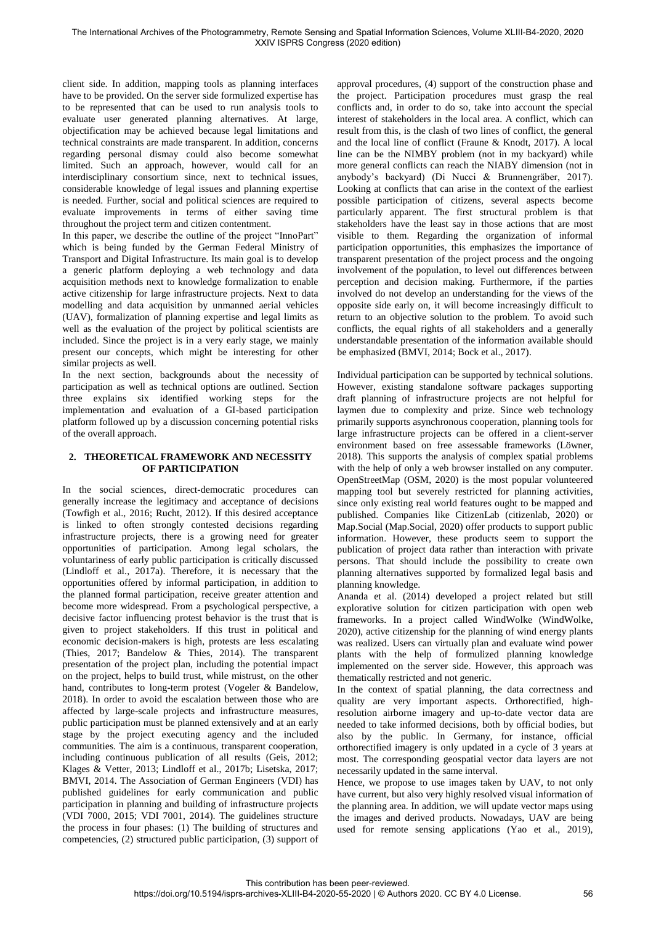client side. In addition, mapping tools as planning interfaces have to be provided. On the server side formulized expertise has to be represented that can be used to run analysis tools to evaluate user generated planning alternatives. At large, objectification may be achieved because legal limitations and technical constraints are made transparent. In addition, concerns regarding personal dismay could also become somewhat limited. Such an approach, however, would call for an interdisciplinary consortium since, next to technical issues, considerable knowledge of legal issues and planning expertise is needed. Further, social and political sciences are required to evaluate improvements in terms of either saving time throughout the project term and citizen contentment.

In this paper, we describe the outline of the project "InnoPart" which is being funded by the German Federal Ministry of Transport and Digital Infrastructure. Its main goal is to develop a generic platform deploying a web technology and data acquisition methods next to knowledge formalization to enable active citizenship for large infrastructure projects. Next to data modelling and data acquisition by unmanned aerial vehicles (UAV), formalization of planning expertise and legal limits as well as the evaluation of the project by political scientists are included. Since the project is in a very early stage, we mainly present our concepts, which might be interesting for other similar projects as well.

In the next section, backgrounds about the necessity of participation as well as technical options are outlined. Section three explains six identified working steps for the implementation and evaluation of a GI-based participation platform followed up by a discussion concerning potential risks of the overall approach.

# **2. THEORETICAL FRAMEWORK AND NECESSITY OF PARTICIPATION**

In the social sciences, direct-democratic procedures can generally increase the legitimacy and acceptance of decisions (Towfigh et al., 2016; Rucht, 2012). If this desired acceptance is linked to often strongly contested decisions regarding infrastructure projects, there is a growing need for greater opportunities of participation. Among legal scholars, the voluntariness of early public participation is critically discussed (Lindloff et al., 2017a). Therefore, it is necessary that the opportunities offered by informal participation, in addition to the planned formal participation, receive greater attention and become more widespread. From a psychological perspective, a decisive factor influencing protest behavior is the trust that is given to project stakeholders. If this trust in political and economic decision-makers is high, protests are less escalating (Thies, 2017; Bandelow & Thies, 2014). The transparent presentation of the project plan, including the potential impact on the project, helps to build trust, while mistrust, on the other hand, contributes to long-term protest (Vogeler & Bandelow, 2018). In order to avoid the escalation between those who are affected by large-scale projects and infrastructure measures, public participation must be planned extensively and at an early stage by the project executing agency and the included communities. The aim is a continuous, transparent cooperation, including continuous publication of all results (Geis, 2012; Klages & Vetter, 2013; Lindloff et al., 2017b; Lisetska, 2017; BMVI, 2014. The Association of German Engineers (VDI) has published guidelines for early communication and public participation in planning and building of infrastructure projects (VDI 7000, 2015; VDI 7001, 2014). The guidelines structure the process in four phases: (1) The building of structures and competencies, (2) structured public participation, (3) support of approval procedures, (4) support of the construction phase and the project. Participation procedures must grasp the real conflicts and, in order to do so, take into account the special interest of stakeholders in the local area. A conflict, which can result from this, is the clash of two lines of conflict, the general and the local line of conflict (Fraune & Knodt, 2017). A local line can be the NIMBY problem (not in my backyard) while more general conflicts can reach the NIABY dimension (not in anybody's backyard) (Di Nucci & Brunnengräber, 2017). Looking at conflicts that can arise in the context of the earliest possible participation of citizens, several aspects become particularly apparent. The first structural problem is that stakeholders have the least say in those actions that are most visible to them. Regarding the organization of informal participation opportunities, this emphasizes the importance of transparent presentation of the project process and the ongoing involvement of the population, to level out differences between perception and decision making. Furthermore, if the parties involved do not develop an understanding for the views of the opposite side early on, it will become increasingly difficult to return to an objective solution to the problem. To avoid such conflicts, the equal rights of all stakeholders and a generally understandable presentation of the information available should be emphasized (BMVI, 2014; Bock et al., 2017).

Individual participation can be supported by technical solutions. However, existing standalone software packages supporting draft planning of infrastructure projects are not helpful for laymen due to complexity and prize. Since web technology primarily supports asynchronous cooperation, planning tools for large infrastructure projects can be offered in a client-server environment based on free assessable frameworks (Löwner, 2018). This supports the analysis of complex spatial problems with the help of only a web browser installed on any computer. OpenStreetMap (OSM, 2020) is the most popular volunteered mapping tool but severely restricted for planning activities, since only existing real world features ought to be mapped and published. Companies like CitizenLab (citizenlab, 2020) or Map.Social (Map.Social, 2020) offer products to support public information. However, these products seem to support the publication of project data rather than interaction with private persons. That should include the possibility to create own planning alternatives supported by formalized legal basis and planning knowledge.

Ananda et al. (2014) developed a project related but still explorative solution for citizen participation with open web frameworks. In a project called WindWolke (WindWolke, 2020), active citizenship for the planning of wind energy plants was realized. Users can virtually plan and evaluate wind power plants with the help of formulized planning knowledge implemented on the server side. However, this approach was thematically restricted and not generic.

In the context of spatial planning, the data correctness and quality are very important aspects. Orthorectified, highresolution airborne imagery and up-to-date vector data are needed to take informed decisions, both by official bodies, but also by the public. In Germany, for instance, official orthorectified imagery is only updated in a cycle of 3 years at most. The corresponding geospatial vector data layers are not necessarily updated in the same interval.

Hence, we propose to use images taken by UAV, to not only have current, but also very highly resolved visual information of the planning area. In addition, we will update vector maps using the images and derived products. Nowadays, UAV are being used for remote sensing applications (Yao et al., 2019),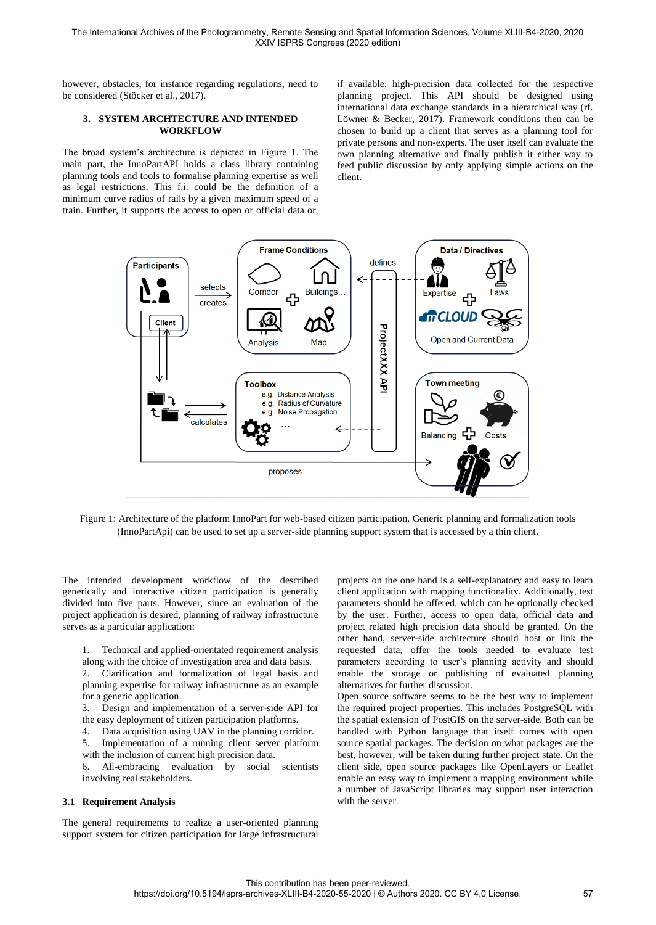however, obstacles, for instance regarding regulations, need to be considered (Stöcker et al., 2017).

## **3. SYSTEM ARCHTECTURE AND INTENDED WORKFLOW**

The broad system's architecture is depicted in Figure 1. The main part, the InnoPartAPI holds a class library containing planning tools and tools to formalise planning expertise as well as legal restrictions. This f.i. could be the definition of a minimum curve radius of rails by a given maximum speed of a train. Further, it supports the access to open or official data or, if available, high-precision data collected for the respective planning project. This API should be designed using international data exchange standards in a hierarchical way (rf. Löwner & Becker, 2017). Framework conditions then can be chosen to build up a client that serves as a planning tool for private persons and non-experts. The user itself can evaluate the own planning alternative and finally publish it either way to feed public discussion by only applying simple actions on the client.



Figure 1: Architecture of the platform InnoPart for web-based citizen participation. Generic planning and formalization tools (InnoPartApi) can be used to set up a server-side planning support system that is accessed by a thin client.

The intended development workflow of the described generically and interactive citizen participation is generally divided into five parts. However, since an evaluation of the project application is desired, planning of railway infrastructure serves as a particular application:

1. Technical and applied-orientated requirement analysis along with the choice of investigation area and data basis.

2. Clarification and formalization of legal basis and planning expertise for railway infrastructure as an example for a generic application.

3. Design and implementation of a server-side API for the easy deployment of citizen participation platforms.

4. Data acquisition using UAV in the planning corridor.

5. Implementation of a running client server platform with the inclusion of current high precision data.

6. All-embracing evaluation by social scientists involving real stakeholders.

#### **3.1 Requirement Analysis**

The general requirements to realize a user-oriented planning support system for citizen participation for large infrastructural projects on the one hand is a self-explanatory and easy to learn client application with mapping functionality. Additionally, test parameters should be offered, which can be optionally checked by the user. Further, access to open data, official data and project related high precision data should be granted. On the other hand, server-side architecture should host or link the requested data, offer the tools needed to evaluate test parameters according to user's planning activity and should enable the storage or publishing of evaluated planning alternatives for further discussion.

Open source software seems to be the best way to implement the required project properties. This includes PostgreSQL with the spatial extension of PostGIS on the server-side. Both can be handled with Python language that itself comes with open source spatial packages. The decision on what packages are the best, however, will be taken during further project state. On the client side, open source packages like OpenLayers or Leaflet enable an easy way to implement a mapping environment while a number of JavaScript libraries may support user interaction with the server.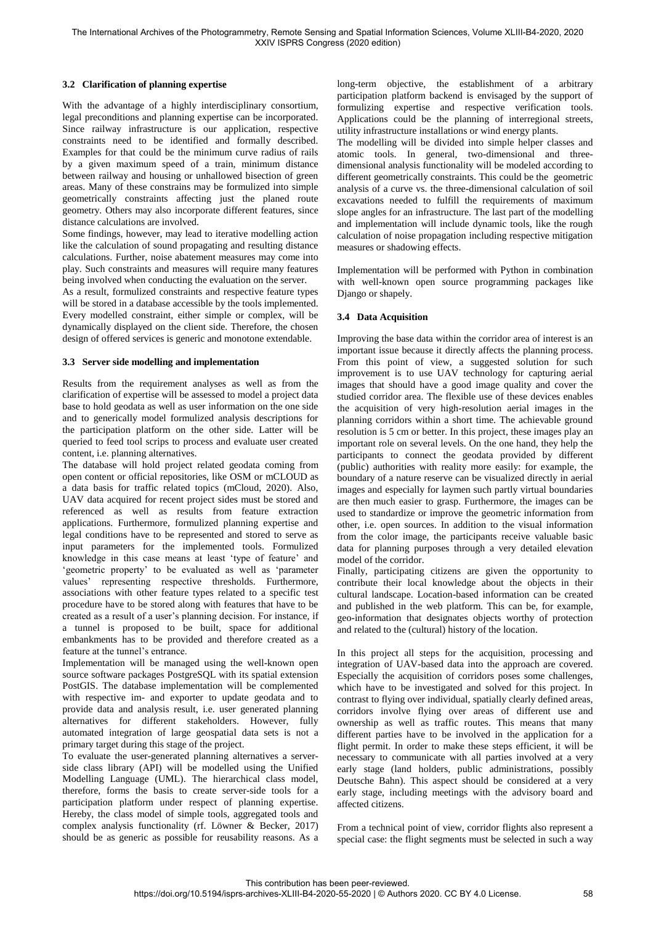# **3.2 Clarification of planning expertise**

With the advantage of a highly interdisciplinary consortium, legal preconditions and planning expertise can be incorporated. Since railway infrastructure is our application, respective constraints need to be identified and formally described. Examples for that could be the minimum curve radius of rails by a given maximum speed of a train, minimum distance between railway and housing or unhallowed bisection of green areas. Many of these constrains may be formulized into simple geometrically constraints affecting just the planed route geometry. Others may also incorporate different features, since distance calculations are involved.

Some findings, however, may lead to iterative modelling action like the calculation of sound propagating and resulting distance calculations. Further, noise abatement measures may come into play. Such constraints and measures will require many features being involved when conducting the evaluation on the server.

As a result, formulized constraints and respective feature types will be stored in a database accessible by the tools implemented. Every modelled constraint, either simple or complex, will be dynamically displayed on the client side. Therefore, the chosen design of offered services is generic and monotone extendable.

# **3.3 Server side modelling and implementation**

Results from the requirement analyses as well as from the clarification of expertise will be assessed to model a project data base to hold geodata as well as user information on the one side and to generically model formulized analysis descriptions for the participation platform on the other side. Latter will be queried to feed tool scrips to process and evaluate user created content, i.e. planning alternatives.

The database will hold project related geodata coming from open content or official repositories, like OSM or mCLOUD as a data basis for traffic related topics (mCloud, 2020). Also, UAV data acquired for recent project sides must be stored and referenced as well as results from feature extraction applications. Furthermore, formulized planning expertise and legal conditions have to be represented and stored to serve as input parameters for the implemented tools. Formulized knowledge in this case means at least 'type of feature' and 'geometric property' to be evaluated as well as 'parameter values' representing respective thresholds. Furthermore, associations with other feature types related to a specific test procedure have to be stored along with features that have to be created as a result of a user's planning decision. For instance, if a tunnel is proposed to be built, space for additional embankments has to be provided and therefore created as a feature at the tunnel's entrance.

Implementation will be managed using the well-known open source software packages PostgreSQL with its spatial extension PostGIS. The database implementation will be complemented with respective im- and exporter to update geodata and to provide data and analysis result, i.e. user generated planning alternatives for different stakeholders. However, fully automated integration of large geospatial data sets is not a primary target during this stage of the project.

To evaluate the user-generated planning alternatives a serverside class library (API) will be modelled using the Unified Modelling Language (UML). The hierarchical class model, therefore, forms the basis to create server-side tools for a participation platform under respect of planning expertise. Hereby, the class model of simple tools, aggregated tools and complex analysis functionality (rf. Löwner & Becker, 2017) should be as generic as possible for reusability reasons. As a long-term objective, the establishment of a arbitrary participation platform backend is envisaged by the support of formulizing expertise and respective verification tools. Applications could be the planning of interregional streets, utility infrastructure installations or wind energy plants.

The modelling will be divided into simple helper classes and atomic tools. In general, two-dimensional and threedimensional analysis functionality will be modeled according to different geometrically constraints. This could be the geometric analysis of a curve vs. the three-dimensional calculation of soil excavations needed to fulfill the requirements of maximum slope angles for an infrastructure. The last part of the modelling and implementation will include dynamic tools, like the rough calculation of noise propagation including respective mitigation measures or shadowing effects.

Implementation will be performed with Python in combination with well-known open source programming packages like Django or shapely.

# **3.4 Data Acquisition**

Improving the base data within the corridor area of interest is an important issue because it directly affects the planning process. From this point of view, a suggested solution for such improvement is to use UAV technology for capturing aerial images that should have a good image quality and cover the studied corridor area. The flexible use of these devices enables the acquisition of very high-resolution aerial images in the planning corridors within a short time. The achievable ground resolution is 5 cm or better. In this project, these images play an important role on several levels. On the one hand, they help the participants to connect the geodata provided by different (public) authorities with reality more easily: for example, the boundary of a nature reserve can be visualized directly in aerial images and especially for laymen such partly virtual boundaries are then much easier to grasp. Furthermore, the images can be used to standardize or improve the geometric information from other, i.e. open sources. In addition to the visual information from the color image, the participants receive valuable basic data for planning purposes through a very detailed elevation model of the corridor.

Finally, participating citizens are given the opportunity to contribute their local knowledge about the objects in their cultural landscape. Location-based information can be created and published in the web platform. This can be, for example, geo-information that designates objects worthy of protection and related to the (cultural) history of the location.

In this project all steps for the acquisition, processing and integration of UAV-based data into the approach are covered. Especially the acquisition of corridors poses some challenges, which have to be investigated and solved for this project. In contrast to flying over individual, spatially clearly defined areas, corridors involve flying over areas of different use and ownership as well as traffic routes. This means that many different parties have to be involved in the application for a flight permit. In order to make these steps efficient, it will be necessary to communicate with all parties involved at a very early stage (land holders, public administrations, possibly Deutsche Bahn). This aspect should be considered at a very early stage, including meetings with the advisory board and affected citizens.

From a technical point of view, corridor flights also represent a special case: the flight segments must be selected in such a way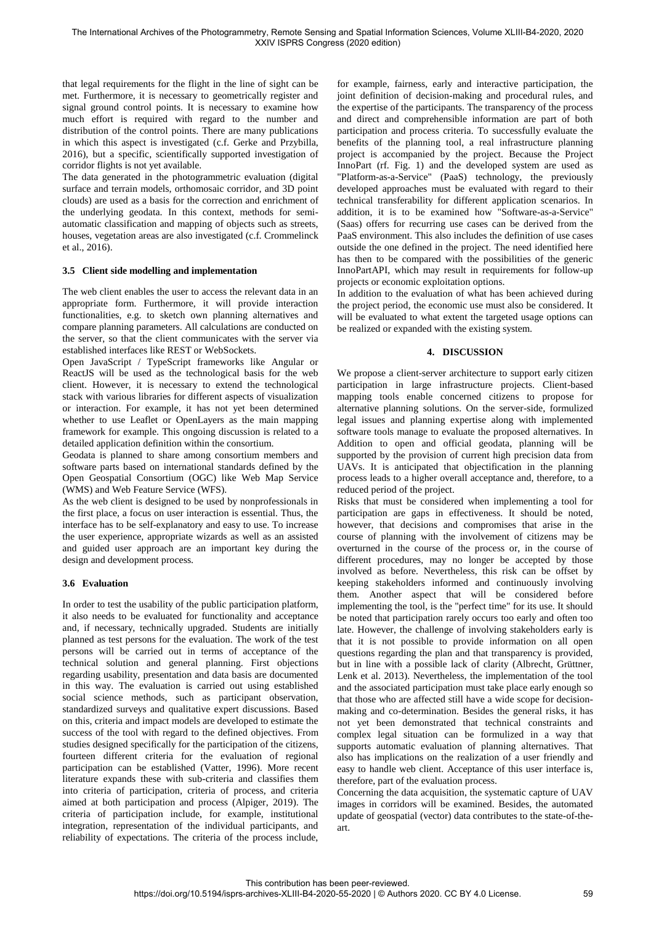that legal requirements for the flight in the line of sight can be met. Furthermore, it is necessary to geometrically register and signal ground control points. It is necessary to examine how much effort is required with regard to the number and distribution of the control points. There are many publications in which this aspect is investigated (c.f. Gerke and Przybilla, 2016), but a specific, scientifically supported investigation of corridor flights is not yet available.

The data generated in the photogrammetric evaluation (digital surface and terrain models, orthomosaic corridor, and 3D point clouds) are used as a basis for the correction and enrichment of the underlying geodata. In this context, methods for semiautomatic classification and mapping of objects such as streets, houses, vegetation areas are also investigated (c.f. Crommelinck et al., 2016).

## **3.5 Client side modelling and implementation**

The web client enables the user to access the relevant data in an appropriate form. Furthermore, it will provide interaction functionalities, e.g. to sketch own planning alternatives and compare planning parameters. All calculations are conducted on the server, so that the client communicates with the server via established interfaces like REST or WebSockets.

Open JavaScript / TypeScript frameworks like Angular or ReactJS will be used as the technological basis for the web client. However, it is necessary to extend the technological stack with various libraries for different aspects of visualization or interaction. For example, it has not yet been determined whether to use Leaflet or OpenLayers as the main mapping framework for example. This ongoing discussion is related to a detailed application definition within the consortium.

Geodata is planned to share among consortium members and software parts based on international standards defined by the Open Geospatial Consortium (OGC) like Web Map Service (WMS) and Web Feature Service (WFS).

As the web client is designed to be used by nonprofessionals in the first place, a focus on user interaction is essential. Thus, the interface has to be self-explanatory and easy to use. To increase the user experience, appropriate wizards as well as an assisted and guided user approach are an important key during the design and development process.

# **3.6 Evaluation**

In order to test the usability of the public participation platform, it also needs to be evaluated for functionality and acceptance and, if necessary, technically upgraded. Students are initially planned as test persons for the evaluation. The work of the test persons will be carried out in terms of acceptance of the technical solution and general planning. First objections regarding usability, presentation and data basis are documented in this way. The evaluation is carried out using established social science methods, such as participant observation, standardized surveys and qualitative expert discussions. Based on this, criteria and impact models are developed to estimate the success of the tool with regard to the defined objectives. From studies designed specifically for the participation of the citizens, fourteen different criteria for the evaluation of regional participation can be established (Vatter, 1996). More recent literature expands these with sub-criteria and classifies them into criteria of participation, criteria of process, and criteria aimed at both participation and process (Alpiger, 2019). The criteria of participation include, for example, institutional integration, representation of the individual participants, and reliability of expectations. The criteria of the process include,

for example, fairness, early and interactive participation, the joint definition of decision-making and procedural rules, and the expertise of the participants. The transparency of the process and direct and comprehensible information are part of both participation and process criteria. To successfully evaluate the benefits of the planning tool, a real infrastructure planning project is accompanied by the project. Because the Project InnoPart (rf. Fig. 1) and the developed system are used as "Platform-as-a-Service" (PaaS) technology, the previously developed approaches must be evaluated with regard to their technical transferability for different application scenarios. In addition, it is to be examined how "Software-as-a-Service" (Saas) offers for recurring use cases can be derived from the PaaS environment. This also includes the definition of use cases outside the one defined in the project. The need identified here has then to be compared with the possibilities of the generic InnoPartAPI, which may result in requirements for follow-up projects or economic exploitation options.

In addition to the evaluation of what has been achieved during the project period, the economic use must also be considered. It will be evaluated to what extent the targeted usage options can be realized or expanded with the existing system.

## **4. DISCUSSION**

We propose a client-server architecture to support early citizen participation in large infrastructure projects. Client-based mapping tools enable concerned citizens to propose for alternative planning solutions. On the server-side, formulized legal issues and planning expertise along with implemented software tools manage to evaluate the proposed alternatives. In Addition to open and official geodata, planning will be supported by the provision of current high precision data from UAVs. It is anticipated that objectification in the planning process leads to a higher overall acceptance and, therefore, to a reduced period of the project.

Risks that must be considered when implementing a tool for participation are gaps in effectiveness. It should be noted, however, that decisions and compromises that arise in the course of planning with the involvement of citizens may be overturned in the course of the process or, in the course of different procedures, may no longer be accepted by those involved as before. Nevertheless, this risk can be offset by keeping stakeholders informed and continuously involving them. Another aspect that will be considered before implementing the tool, is the "perfect time" for its use. It should be noted that participation rarely occurs too early and often too late. However, the challenge of involving stakeholders early is that it is not possible to provide information on all open questions regarding the plan and that transparency is provided, but in line with a possible lack of clarity (Albrecht, Grüttner, Lenk et al. 2013). Nevertheless, the implementation of the tool and the associated participation must take place early enough so that those who are affected still have a wide scope for decisionmaking and co-determination. Besides the general risks, it has not yet been demonstrated that technical constraints and complex legal situation can be formulized in a way that supports automatic evaluation of planning alternatives. That also has implications on the realization of a user friendly and easy to handle web client. Acceptance of this user interface is, therefore, part of the evaluation process.

Concerning the data acquisition, the systematic capture of UAV images in corridors will be examined. Besides, the automated update of geospatial (vector) data contributes to the state-of-theart.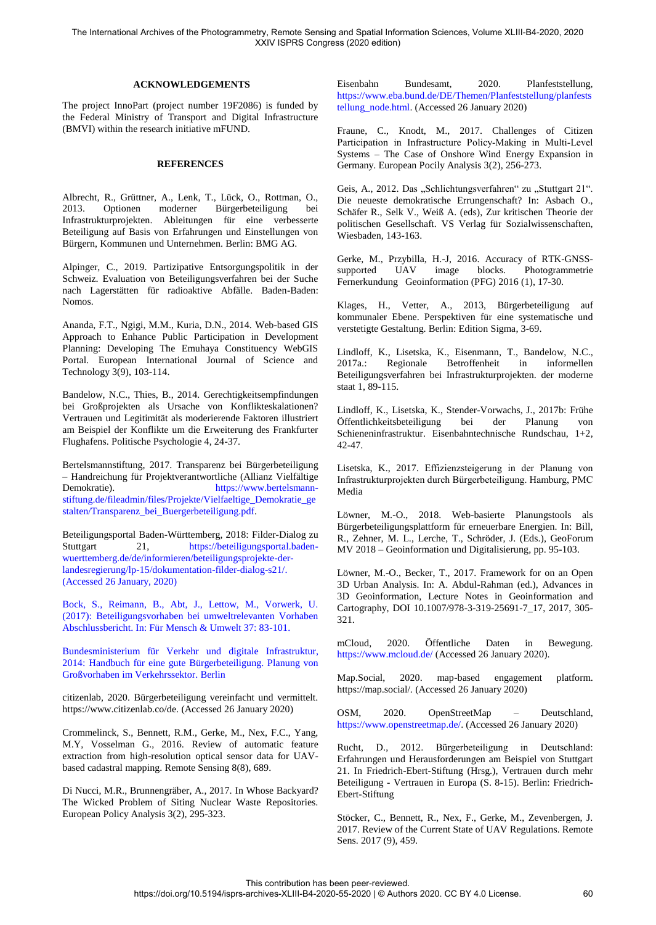The International Archives of the Photogrammetry, Remote Sensing and Spatial Information Sciences, Volume XLIII-B4-2020, 2020 XXIV ISPRS Congress (2020 edition)

#### **ACKNOWLEDGEMENTS**

The project InnoPart (project number 19F2086) is funded by the Federal Ministry of Transport and Digital Infrastructure (BMVI) within the research initiative mFUND.

## **REFERENCES**

Albrecht, R., Grüttner, A., Lenk, T., Lück, O., Rottman, O., 2013. Optionen moderner Bürgerbeteiligung bei Infrastrukturprojekten. Ableitungen für eine verbesserte Beteiligung auf Basis von Erfahrungen und Einstellungen von Bürgern, Kommunen und Unternehmen. Berlin: BMG AG.

Alpinger, C., 2019. Partizipative Entsorgungspolitik in der Schweiz. Evaluation von Beteiligungsverfahren bei der Suche nach Lagerstätten für radioaktive Abfälle. Baden-Baden: Nomos.

Ananda, F.T., Ngigi, M.M., Kuria, D.N., 2014. Web-based GIS Approach to Enhance Public Participation in Development Planning: Developing The Emuhaya Constituency WebGIS Portal. European International Journal of Science and Technology 3(9), 103-114.

Bandelow, N.C., Thies, B., 2014. Gerechtigkeitsempfindungen bei Großprojekten als Ursache von Konflikteskalationen? Vertrauen und Legitimität als moderierende Faktoren illustriert am Beispiel der Konflikte um die Erweiterung des Frankfurter Flughafens. Politische Psychologie 4, 24-37.

Bertelsmannstiftung, 2017. Transparenz bei Bürgerbeteiligung – Handreichung für Projektverantwortliche (Allianz Vielfältige Demokratie). [https://www.bertelsmann](https://www.bertelsmann-stiftung.de/fileadmin/files/Projekte/Vielfaeltige_Demokratie_gestalten/Transparenz_bei_Buergerbeteiligung.pdf)[stiftung.de/fileadmin/files/Projekte/Vielfaeltige\\_Demokratie\\_ge](https://www.bertelsmann-stiftung.de/fileadmin/files/Projekte/Vielfaeltige_Demokratie_gestalten/Transparenz_bei_Buergerbeteiligung.pdf) [stalten/Transparenz\\_bei\\_Buergerbeteiligung.pdf.](https://www.bertelsmann-stiftung.de/fileadmin/files/Projekte/Vielfaeltige_Demokratie_gestalten/Transparenz_bei_Buergerbeteiligung.pdf)

Beteiligungsportal Baden-Württemberg, 2018: Filder-Dialog zu Stuttgart 21, [https://beteiligungsportal.baden](https://beteiligungsportal.baden-wuerttemberg.de/de/informieren/beteiligungsprojekte-der-landesregierung/lp-15/dokumentation-filder-dialog-s21/)[wuerttemberg.de/de/informieren/beteiligungsprojekte-der](https://beteiligungsportal.baden-wuerttemberg.de/de/informieren/beteiligungsprojekte-der-landesregierung/lp-15/dokumentation-filder-dialog-s21/)[landesregierung/lp-15/dokumentation-filder-dialog-s21/.](https://beteiligungsportal.baden-wuerttemberg.de/de/informieren/beteiligungsprojekte-der-landesregierung/lp-15/dokumentation-filder-dialog-s21/) (Accessed 26 January, 2020)

Bock, S., Reimann, B., Abt, J., Lettow, M., Vorwerk, U. (2017): Beteiligungsvorhaben bei umweltrelevanten Vorhaben Abschlussbericht. In: Für Mensch & Umwelt 37: 83-101.

Bundesministerium für Verkehr und digitale Infrastruktur, 2014: Handbuch für eine gute Bürgerbeteiligung. Planung von Großvorhaben im Verkehrssektor. Berlin

citizenlab, 2020. Bürgerbeteiligung vereinfacht und vermittelt. https://www.citizenlab.co/de. (Accessed 26 January 2020)

Crommelinck, S., Bennett, R.M., Gerke, M., Nex, F.C., Yang, M.Y, Vosselman G., 2016. Review of automatic feature extraction from high-resolution optical sensor data for UAVbased cadastral mapping. Remote Sensing 8(8), 689.

Di Nucci, M.R., Brunnengräber, A., 2017. In Whose Backyard? The Wicked Problem of Siting Nuclear Waste Repositories. European Policy Analysis 3(2), 295-323.

Eisenbahn Bundesamt, 2020. Planfeststellung, [https://www.eba.bund.de/DE/Themen/Planfeststellung/planfests](https://www.eba.bund.de/DE/Themen/Planfeststellung/planfeststellung_node.html) [tellung\\_node.html.](https://www.eba.bund.de/DE/Themen/Planfeststellung/planfeststellung_node.html) (Accessed 26 January 2020)

Fraune, C., Knodt, M., 2017. Challenges of Citizen Participation in Infrastructure Policy‐Making in Multi‐Level Systems – The Case of Onshore Wind Energy Expansion in Germany. European Pocily Analysis 3(2), 256-273.

Geis, A., 2012. Das "Schlichtungsverfahren" zu "Stuttgart 21". Die neueste demokratische Errungenschaft? In: Asbach O., Schäfer R., Selk V., Weiß A. (eds), Zur kritischen Theorie der politischen Gesellschaft. VS Verlag für Sozialwissenschaften, Wiesbaden, 143-163.

Gerke, M., Przybilla, H.-J, 2016. Accuracy of RTK-GNSSsupported UAV image blocks. Photogrammetrie Fernerkundung Geoinformation (PFG) 2016 (1), 17-30.

Klages, H., Vetter, A., 2013, Bürgerbeteiligung auf kommunaler Ebene. Perspektiven für eine systematische und verstetigte Gestaltung. Berlin: Edition Sigma, 3-69.

Lindloff, K., Lisetska, K., Eisenmann, T., Bandelow, N.C., 2017a.: Regionale Betroffenheit in informellen Beteiligungsverfahren bei Infrastrukturprojekten. der moderne staat 1, 89-115.

Lindloff, K., Lisetska, K., Stender-Vorwachs, J., 2017b: Frühe Öffentlichkeitsbeteiligung bei der Planung von Schieneninfrastruktur. Eisenbahntechnische Rundschau, 1+2, 42-47.

Lisetska, K., 2017. Effizienzsteigerung in der Planung von Infrastrukturprojekten durch Bürgerbeteiligung. Hamburg, PMC Media

Löwner, M.-O., 2018. Web-basierte Planungstools als Bürgerbeteiligungsplattform für erneuerbare Energien. In: Bill, R., Zehner, M. L., Lerche, T., Schröder, J. (Eds.), GeoForum MV 2018 – Geoinformation und Digitalisierung, pp. 95-103.

Löwner, M.-O., Becker, T., 2017. Framework for on an Open 3D Urban Analysis. In: A. Abdul-Rahman (ed.), Advances in 3D Geoinformation, Lecture Notes in Geoinformation and Cartography, DOI 10.1007/978-3-319-25691-7\_17, 2017, 305- 321.

mCloud, 2020. Öffentliche Daten in Bewegung. <https://www.mcloud.de/>(Accessed 26 January 2020).

Map.Social, 2020. map-based engagement platform. https://map.social/. (Accessed 26 January 2020)

OSM, 2020. OpenStreetMap – Deutschland, [https://www.openstreetmap.de/.](https://www.openstreetmap.de/) (Accessed 26 January 2020)

Rucht, D., 2012. Bürgerbeteiligung in Deutschland: Erfahrungen und Herausforderungen am Beispiel von Stuttgart 21. In Friedrich-Ebert-Stiftung (Hrsg.), Vertrauen durch mehr Beteiligung - Vertrauen in Europa (S. 8-15). Berlin: Friedrich-Ebert-Stiftung

Stöcker, C., Bennett, R., Nex, F., Gerke, M., Zevenbergen, J. 2017. Review of the Current State of UAV Regulations. Remote Sens. 2017 (9), 459.